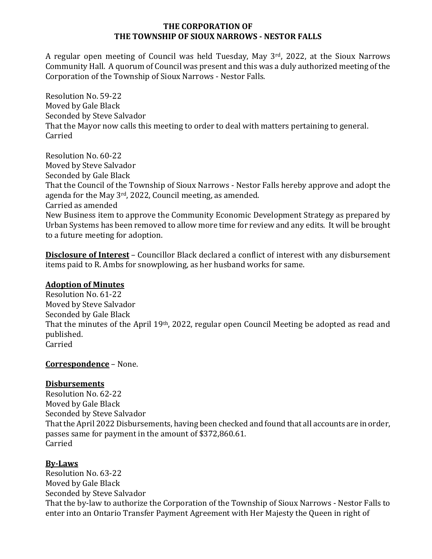#### **THE CORPORATION OF THE TOWNSHIP OF SIOUX NARROWS - NESTOR FALLS**

A regular open meeting of Council was held Tuesday, May  $3<sup>rd</sup>$ , 2022, at the Sioux Narrows Community Hall. A quorum of Council was present and this was a duly authorized meeting of the Corporation of the Township of Sioux Narrows - Nestor Falls.

Resolution No. 59-22 Moved by Gale Black Seconded by Steve Salvador That the Mayor now calls this meeting to order to deal with matters pertaining to general. Carried

Resolution No. 60-22 Moved by Steve Salvador Seconded by Gale Black That the Council of the Township of Sioux Narrows - Nestor Falls hereby approve and adopt the agenda for the May  $3^{rd}$ , 2022, Council meeting, as amended. Carried as amended New Business item to approve the Community Economic Development Strategy as prepared by Urban Systems has been removed to allow more time for review and any edits. It will be brought to a future meeting for adoption.

**Disclosure of Interest** - Councillor Black declared a conflict of interest with any disbursement items paid to R. Ambs for snowplowing, as her husband works for same.

### **Adoption of Minutes**

Resolution No. 61-22 Moved by Steve Salvador Seconded by Gale Black That the minutes of the April 19<sup>th</sup>, 2022, regular open Council Meeting be adopted as read and published. Carried 

### **Correspondence** – None.

## **Disbursements**

Resolution No. 62-22 Moved by Gale Black Seconded by Steve Salvador That the April 2022 Disbursements, having been checked and found that all accounts are in order, passes same for payment in the amount of \$372,860.61. Carried

## **By-Laws**

Resolution No. 63-22 Moved by Gale Black Seconded by Steve Salvador That the by-law to authorize the Corporation of the Township of Sioux Narrows - Nestor Falls to enter into an Ontario Transfer Payment Agreement with Her Majesty the Queen in right of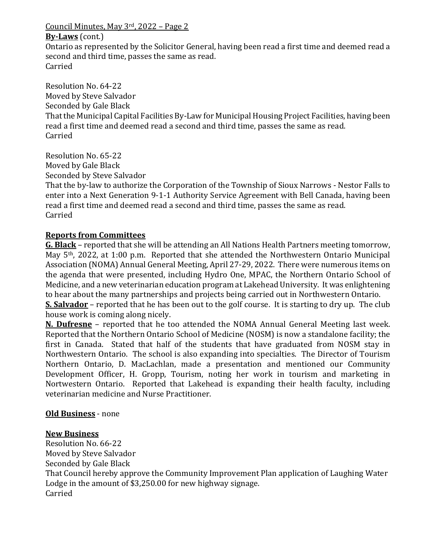Council Minutes, May  $3<sup>rd</sup>$ , 2022 – Page 2

### **By-Laws** (cont.)

Ontario as represented by the Solicitor General, having been read a first time and deemed read a second and third time, passes the same as read. Carried

Resolution No. 64-22 Moved by Steve Salvador Seconded by Gale Black That the Municipal Capital Facilities By-Law for Municipal Housing Project Facilities, having been read a first time and deemed read a second and third time, passes the same as read. Carried

Resolution No. 65-22 Moved by Gale Black Seconded by Steve Salvador

That the by-law to authorize the Corporation of the Township of Sioux Narrows - Nestor Falls to enter into a Next Generation 9-1-1 Authority Service Agreement with Bell Canada, having been read a first time and deemed read a second and third time, passes the same as read. Carried

## **Reports from Committees**

**G. Black** – reported that she will be attending an All Nations Health Partners meeting tomorrow, May  $5<sup>th</sup>$ , 2022, at 1:00 p.m. Reported that she attended the Northwestern Ontario Municipal Association (NOMA) Annual General Meeting, April 27-29, 2022. There were numerous items on the agenda that were presented, including Hydro One, MPAC, the Northern Ontario School of Medicine, and a new veterinarian education program at Lakehead University. It was enlightening to hear about the many partnerships and projects being carried out in Northwestern Ontario.

**<u>S. Salvador</u>** – reported that he has been out to the golf course. It is starting to dry up. The club house work is coming along nicely.

**N. Dufresne** – reported that he too attended the NOMA Annual General Meeting last week. Reported that the Northern Ontario School of Medicine (NOSM) is now a standalone facility; the first in Canada. Stated that half of the students that have graduated from NOSM stay in Northwestern Ontario. The school is also expanding into specialties. The Director of Tourism Northern Ontario, D. MacLachlan, made a presentation and mentioned our Community Development Officer, H. Gropp, Tourism, noting her work in tourism and marketing in Nortwestern Ontario. Reported that Lakehead is expanding their health faculty, including veterinarian medicine and Nurse Practitioner.

## **Old Business** - none

### **New Business**

Resolution No. 66-22 Moved by Steve Salvador Seconded by Gale Black That Council hereby approve the Community Improvement Plan application of Laughing Water Lodge in the amount of \$3,250.00 for new highway signage. Carried